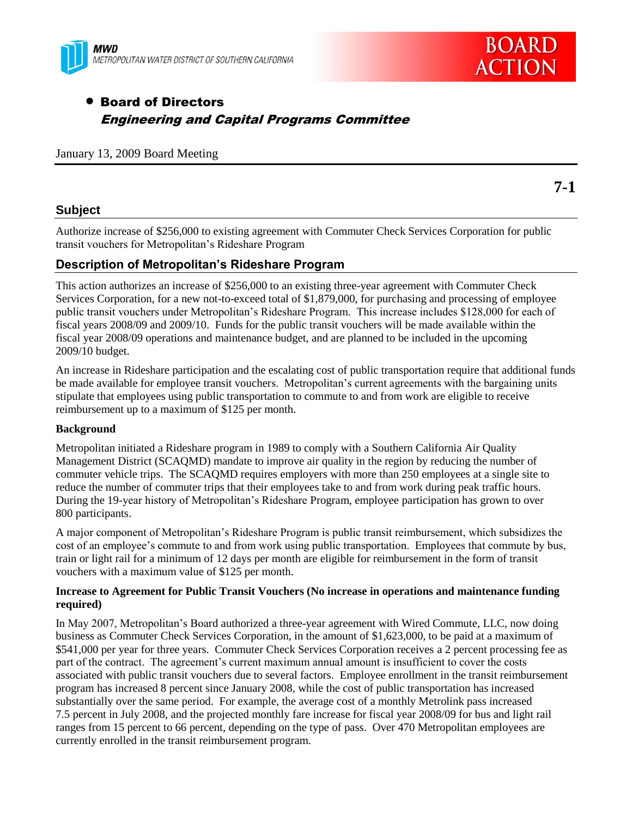



# Board of Directors Engineering and Capital Programs Committee

### **Subject**

Authorize increase of \$256,000 to existing agreement with Commuter Check Services Corporation for public transit vouchers for Metropolitan's Rideshare Program

## **Description of Metropolitan's Rideshare Program**

This action authorizes an increase of \$256,000 to an existing three-year agreement with Commuter Check Services Corporation, for a new not-to-exceed total of \$1,879,000, for purchasing and processing of employee public transit vouchers under Metropolitan's Rideshare Program. This increase includes \$128,000 for each of fiscal years 2008/09 and 2009/10. Funds for the public transit vouchers will be made available within the fiscal year 2008/09 operations and maintenance budget, and are planned to be included in the upcoming 2009/10 budget.

An increase in Rideshare participation and the escalating cost of public transportation require that additional funds be made available for employee transit vouchers. Metropolitan's current agreements with the bargaining units stipulate that employees using public transportation to commute to and from work are eligible to receive reimbursement up to a maximum of \$125 per month.

### **Background**

Metropolitan initiated a Rideshare program in 1989 to comply with a Southern California Air Quality Management District (SCAQMD) mandate to improve air quality in the region by reducing the number of commuter vehicle trips. The SCAQMD requires employers with more than 250 employees at a single site to reduce the number of commuter trips that their employees take to and from work during peak traffic hours. During the 19-year history of Metropolitan's Rideshare Program, employee participation has grown to over 800 participants.

A major component of Metropolitan's Rideshare Program is public transit reimbursement, which subsidizes the cost of an employee's commute to and from work using public transportation. Employees that commute by bus, train or light rail for a minimum of 12 days per month are eligible for reimbursement in the form of transit vouchers with a maximum value of \$125 per month.

### **Increase to Agreement for Public Transit Vouchers (No increase in operations and maintenance funding required)**

In May 2007, Metropolitan's Board authorized a three-year agreement with Wired Commute, LLC, now doing business as Commuter Check Services Corporation, in the amount of \$1,623,000, to be paid at a maximum of \$541,000 per year for three years. Commuter Check Services Corporation receives a 2 percent processing fee as part of the contract. The agreement's current maximum annual amount is insufficient to cover the costs associated with public transit vouchers due to several factors. Employee enrollment in the transit reimbursement program has increased 8 percent since January 2008, while the cost of public transportation has increased substantially over the same period. For example, the average cost of a monthly Metrolink pass increased 7.5 percent in July 2008, and the projected monthly fare increase for fiscal year 2008/09 for bus and light rail ranges from 15 percent to 66 percent, depending on the type of pass. Over 470 Metropolitan employees are currently enrolled in the transit reimbursement program.

**7-1**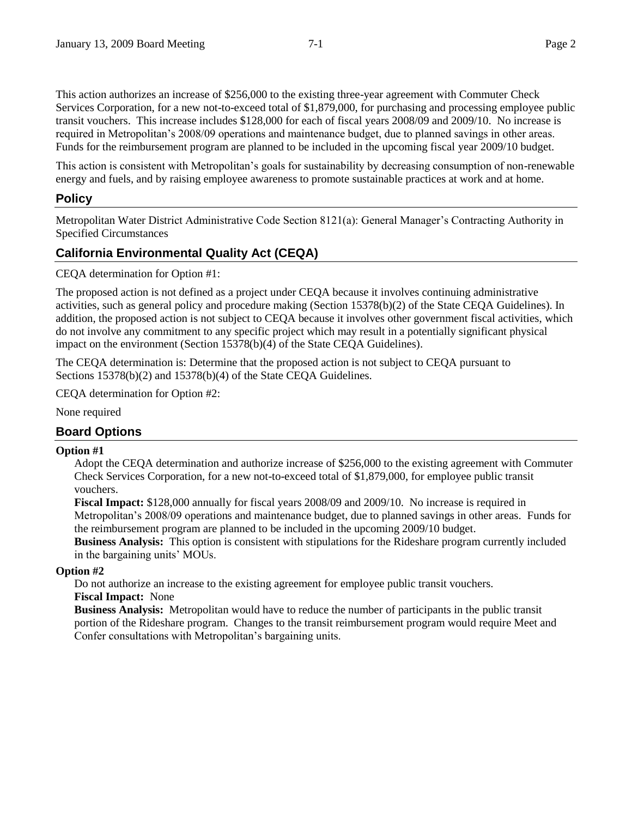This action authorizes an increase of \$256,000 to the existing three-year agreement with Commuter Check Services Corporation, for a new not-to-exceed total of \$1,879,000, for purchasing and processing employee public transit vouchers. This increase includes \$128,000 for each of fiscal years 2008/09 and 2009/10. No increase is required in Metropolitan's 2008/09 operations and maintenance budget, due to planned savings in other areas.

This action is consistent with Metropolitan's goals for sustainability by decreasing consumption of non-renewable energy and fuels, and by raising employee awareness to promote sustainable practices at work and at home.

Funds for the reimbursement program are planned to be included in the upcoming fiscal year 2009/10 budget.

# **Policy**

Metropolitan Water District Administrative Code Section 8121(a): General Manager's Contracting Authority in Specified Circumstances

# **California Environmental Quality Act (CEQA)**

CEQA determination for Option #1:

The proposed action is not defined as a project under CEQA because it involves continuing administrative activities, such as general policy and procedure making (Section 15378(b)(2) of the State CEQA Guidelines). In addition, the proposed action is not subject to CEQA because it involves other government fiscal activities, which do not involve any commitment to any specific project which may result in a potentially significant physical impact on the environment (Section 15378(b)(4) of the State CEQA Guidelines).

The CEQA determination is: Determine that the proposed action is not subject to CEQA pursuant to Sections 15378(b)(2) and 15378(b)(4) of the State CEOA Guidelines.

CEQA determination for Option #2:

None required

## **Board Options**

### **Option #1**

Adopt the CEQA determination and authorize increase of \$256,000 to the existing agreement with Commuter Check Services Corporation, for a new not-to-exceed total of \$1,879,000, for employee public transit vouchers.

**Fiscal Impact:** \$128,000 annually for fiscal years 2008/09 and 2009/10. No increase is required in Metropolitan's 2008/09 operations and maintenance budget, due to planned savings in other areas. Funds for the reimbursement program are planned to be included in the upcoming 2009/10 budget.

**Business Analysis:** This option is consistent with stipulations for the Rideshare program currently included in the bargaining units' MOUs.

### **Option #2**

Do not authorize an increase to the existing agreement for employee public transit vouchers. **Fiscal Impact:** None

**Business Analysis:** Metropolitan would have to reduce the number of participants in the public transit portion of the Rideshare program. Changes to the transit reimbursement program would require Meet and Confer consultations with Metropolitan's bargaining units.